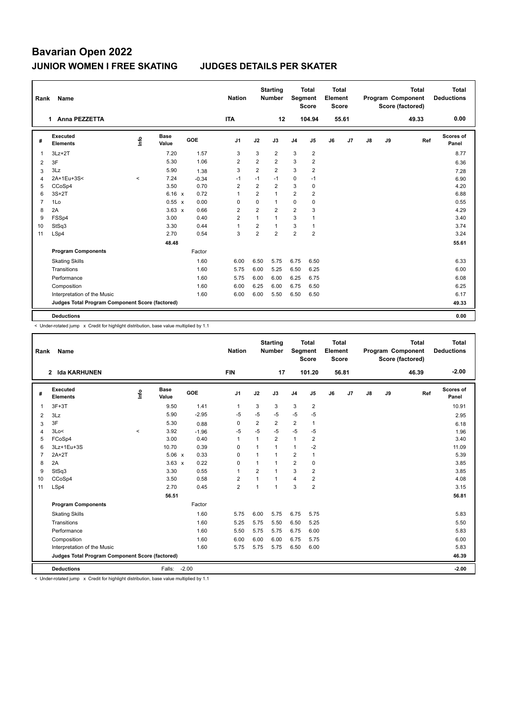| Rank           | Name                                            |         |                      |            | <b>Nation</b>  |                | <b>Starting</b><br><b>Number</b> | Segment        | <b>Total</b><br><b>Score</b> | <b>Total</b><br>Element<br><b>Score</b> |       |               |    | <b>Total</b><br>Program Component<br>Score (factored) | <b>Total</b><br><b>Deductions</b> |
|----------------|-------------------------------------------------|---------|----------------------|------------|----------------|----------------|----------------------------------|----------------|------------------------------|-----------------------------------------|-------|---------------|----|-------------------------------------------------------|-----------------------------------|
|                | Anna PEZZETTA<br>1.                             |         |                      |            | <b>ITA</b>     |                | 12                               |                | 104.94                       |                                         | 55.61 |               |    | 49.33                                                 | 0.00                              |
| #              | <b>Executed</b><br><b>Elements</b>              | lnfo    | <b>Base</b><br>Value | <b>GOE</b> | J <sub>1</sub> | J2             | J3                               | J <sub>4</sub> | J <sub>5</sub>               | J6                                      | J7    | $\mathsf{J}8$ | J9 | Ref                                                   | Scores of<br>Panel                |
| 1              | $3Lz + 2T$                                      |         | 7.20                 | 1.57       | 3              | 3              | $\overline{2}$                   | 3              | $\overline{2}$               |                                         |       |               |    |                                                       | 8.77                              |
| 2              | 3F                                              |         | 5.30                 | 1.06       | 2              | $\overline{2}$ | $\overline{2}$                   | 3              | $\overline{2}$               |                                         |       |               |    |                                                       | 6.36                              |
| 3              | 3Lz                                             |         | 5.90                 | 1.38       | 3              | $\overline{2}$ | $\overline{2}$                   | 3              | $\overline{2}$               |                                         |       |               |    |                                                       | 7.28                              |
| 4              | 2A+1Eu+3S<                                      | $\prec$ | 7.24                 | $-0.34$    | $-1$           | $-1$           | $-1$                             | $\mathbf 0$    | $-1$                         |                                         |       |               |    |                                                       | 6.90                              |
| 5              | CCoSp4                                          |         | 3.50                 | 0.70       | $\overline{2}$ | 2              | $\overline{2}$                   | 3              | $\mathbf 0$                  |                                         |       |               |    |                                                       | 4.20                              |
| 6              | $3S+2T$                                         |         | 6.16 x               | 0.72       | 1              | $\overline{2}$ | $\mathbf{1}$                     | $\overline{2}$ | $\overline{2}$               |                                         |       |               |    |                                                       | 6.88                              |
| $\overline{7}$ | 1Lo                                             |         | 0.55 x               | 0.00       | 0              | 0              | $\mathbf{1}$                     | $\mathbf 0$    | $\mathbf 0$                  |                                         |       |               |    |                                                       | 0.55                              |
| 8              | 2A                                              |         | $3.63 \times$        | 0.66       | $\overline{2}$ | $\overline{2}$ | $\overline{2}$                   | $\overline{2}$ | 3                            |                                         |       |               |    |                                                       | 4.29                              |
| 9              | FSSp4                                           |         | 3.00                 | 0.40       | $\overline{2}$ | $\mathbf{1}$   | $\overline{1}$                   | 3              | 1                            |                                         |       |               |    |                                                       | 3.40                              |
| 10             | StSq3                                           |         | 3.30                 | 0.44       | 1              | 2              | $\mathbf{1}$                     | 3              | $\mathbf{1}$                 |                                         |       |               |    |                                                       | 3.74                              |
| 11             | LSp4                                            |         | 2.70                 | 0.54       | 3              | 2              | $\overline{2}$                   | $\overline{2}$ | $\overline{2}$               |                                         |       |               |    |                                                       | 3.24                              |
|                |                                                 |         | 48.48                |            |                |                |                                  |                |                              |                                         |       |               |    |                                                       | 55.61                             |
|                | <b>Program Components</b>                       |         |                      | Factor     |                |                |                                  |                |                              |                                         |       |               |    |                                                       |                                   |
|                | <b>Skating Skills</b>                           |         |                      | 1.60       | 6.00           | 6.50           | 5.75                             | 6.75           | 6.50                         |                                         |       |               |    |                                                       | 6.33                              |
|                | Transitions                                     |         |                      | 1.60       | 5.75           | 6.00           | 5.25                             | 6.50           | 6.25                         |                                         |       |               |    |                                                       | 6.00                              |
|                | Performance                                     |         |                      | 1.60       | 5.75           | 6.00           | 6.00                             | 6.25           | 6.75                         |                                         |       |               |    |                                                       | 6.08                              |
|                | Composition                                     |         |                      | 1.60       | 6.00           | 6.25           | 6.00                             | 6.75           | 6.50                         |                                         |       |               |    |                                                       | 6.25                              |
|                | Interpretation of the Music                     |         |                      | 1.60       | 6.00           | 6.00           | 5.50                             | 6.50           | 6.50                         |                                         |       |               |    |                                                       | 6.17                              |
|                | Judges Total Program Component Score (factored) |         |                      |            |                |                |                                  |                |                              |                                         |       |               |    |                                                       | 49.33                             |
|                | <b>Deductions</b>                               |         |                      |            |                |                |                                  |                |                              |                                         |       |               |    |                                                       | 0.00                              |

< Under-rotated jump x Credit for highlight distribution, base value multiplied by 1.1

| Rank           | Name                                            |         |                      |         | <b>Nation</b>  |                | <b>Starting</b><br><b>Number</b> | Segment        | <b>Total</b><br><b>Score</b> | Total<br>Element<br><b>Score</b> |       |    |    | <b>Total</b><br>Program Component<br>Score (factored) | Total<br><b>Deductions</b> |
|----------------|-------------------------------------------------|---------|----------------------|---------|----------------|----------------|----------------------------------|----------------|------------------------------|----------------------------------|-------|----|----|-------------------------------------------------------|----------------------------|
|                | 2 Ida KARHUNEN                                  |         |                      |         | <b>FIN</b>     |                | 17                               |                | 101.20                       |                                  | 56.81 |    |    | 46.39                                                 | $-2.00$                    |
| #              | Executed<br><b>Elements</b>                     | ۴ů      | <b>Base</b><br>Value | GOE     | J <sub>1</sub> | J2             | J3                               | J <sub>4</sub> | J5                           | J6                               | J7    | J8 | J9 | Ref                                                   | Scores of<br>Panel         |
| 1              | $3F+3T$                                         |         | 9.50                 | 1.41    | $\mathbf{1}$   | 3              | 3                                | 3              | $\overline{2}$               |                                  |       |    |    |                                                       | 10.91                      |
| 2              | 3Lz                                             |         | 5.90                 | $-2.95$ | -5             | $-5$           | $-5$                             | $-5$           | $-5$                         |                                  |       |    |    |                                                       | 2.95                       |
| 3              | 3F                                              |         | 5.30                 | 0.88    | 0              | $\overline{2}$ | $\overline{2}$                   | $\overline{2}$ | $\mathbf{1}$                 |                                  |       |    |    |                                                       | 6.18                       |
| 4              | 3Lo<                                            | $\prec$ | 3.92                 | $-1.96$ | $-5$           | $-5$           | $-5$                             | $-5$           | $-5$                         |                                  |       |    |    |                                                       | 1.96                       |
| 5              | FCoSp4                                          |         | 3.00                 | 0.40    | 1              | 1              | $\overline{2}$                   | $\mathbf{1}$   | 2                            |                                  |       |    |    |                                                       | 3.40                       |
| 6              | 3Lz+1Eu+3S                                      |         | 10.70                | 0.39    | 0              | 1              | 1                                | $\mathbf{1}$   | $-2$                         |                                  |       |    |    |                                                       | 11.09                      |
| $\overline{7}$ | $2A+2T$                                         |         | $5.06 \times$        | 0.33    | 0              | $\overline{1}$ | 1                                | $\overline{2}$ | 1                            |                                  |       |    |    |                                                       | 5.39                       |
| 8              | 2A                                              |         | $3.63 \times$        | 0.22    | $\mathbf 0$    | 1              | 1                                | $\overline{2}$ | $\mathbf 0$                  |                                  |       |    |    |                                                       | 3.85                       |
| 9              | StSq3                                           |         | 3.30                 | 0.55    | 1              | $\overline{2}$ | 1                                | 3              | $\overline{2}$               |                                  |       |    |    |                                                       | 3.85                       |
| 10             | CCoSp4                                          |         | 3.50                 | 0.58    | 2              | 1              | 1                                | $\overline{4}$ | $\overline{2}$               |                                  |       |    |    |                                                       | 4.08                       |
| 11             | LSp4                                            |         | 2.70                 | 0.45    | $\overline{2}$ | 1              | 1                                | 3              | $\overline{2}$               |                                  |       |    |    |                                                       | 3.15                       |
|                |                                                 |         | 56.51                |         |                |                |                                  |                |                              |                                  |       |    |    |                                                       | 56.81                      |
|                | <b>Program Components</b>                       |         |                      | Factor  |                |                |                                  |                |                              |                                  |       |    |    |                                                       |                            |
|                | <b>Skating Skills</b>                           |         |                      | 1.60    | 5.75           | 6.00           | 5.75                             | 6.75           | 5.75                         |                                  |       |    |    |                                                       | 5.83                       |
|                | Transitions                                     |         |                      | 1.60    | 5.25           | 5.75           | 5.50                             | 6.50           | 5.25                         |                                  |       |    |    |                                                       | 5.50                       |
|                | Performance                                     |         |                      | 1.60    | 5.50           | 5.75           | 5.75                             | 6.75           | 6.00                         |                                  |       |    |    |                                                       | 5.83                       |
|                | Composition                                     |         |                      | 1.60    | 6.00           | 6.00           | 6.00                             | 6.75           | 5.75                         |                                  |       |    |    |                                                       | 6.00                       |
|                | Interpretation of the Music                     |         |                      | 1.60    | 5.75           | 5.75           | 5.75                             | 6.50           | 6.00                         |                                  |       |    |    |                                                       | 5.83                       |
|                | Judges Total Program Component Score (factored) |         |                      |         |                |                |                                  |                |                              |                                  |       |    |    |                                                       | 46.39                      |
|                | <b>Deductions</b>                               |         | Falls:               | $-2.00$ |                |                |                                  |                |                              |                                  |       |    |    |                                                       | $-2.00$                    |

< Under-rotated jump x Credit for highlight distribution, base value multiplied by 1.1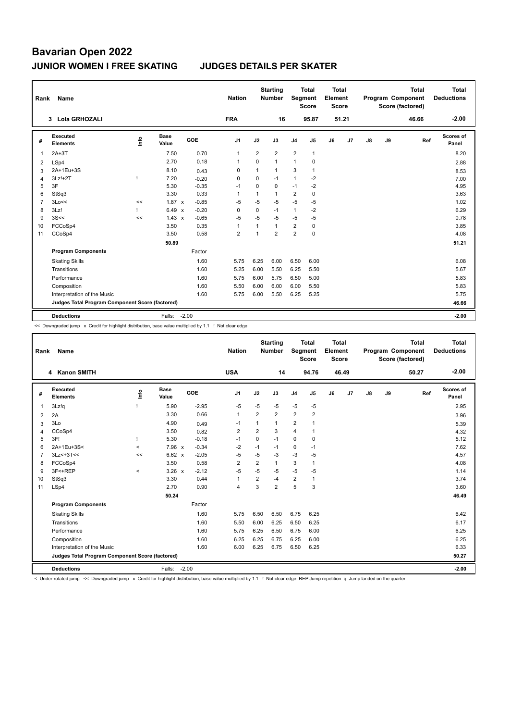| Rank           | Name                                            |      |                      |         | <b>Nation</b>  |                | <b>Starting</b><br><b>Number</b> | <b>Segment</b> | <b>Total</b><br><b>Score</b> | <b>Total</b><br>Element<br><b>Score</b> |                |    |    | <b>Total</b><br>Program Component<br>Score (factored) | Total<br><b>Deductions</b> |
|----------------|-------------------------------------------------|------|----------------------|---------|----------------|----------------|----------------------------------|----------------|------------------------------|-----------------------------------------|----------------|----|----|-------------------------------------------------------|----------------------------|
|                | Lola GRHOZALI<br>3                              |      |                      |         | <b>FRA</b>     |                | 16                               |                | 95.87                        |                                         | 51.21          |    |    | 46.66                                                 | $-2.00$                    |
| #              | Executed<br><b>Elements</b>                     | lnfo | <b>Base</b><br>Value | GOE     | J1             | J2             | J3                               | J <sub>4</sub> | J5                           | J6                                      | J <sub>7</sub> | J8 | J9 | Ref                                                   | Scores of<br>Panel         |
| 1              | $2A+3T$                                         |      | 7.50                 | 0.70    | $\overline{1}$ | $\overline{2}$ | $\overline{2}$                   | $\overline{2}$ | $\mathbf{1}$                 |                                         |                |    |    |                                                       | 8.20                       |
| 2              | LSp4                                            |      | 2.70                 | 0.18    | -1             | 0              | $\mathbf{1}$                     | $\mathbf{1}$   | 0                            |                                         |                |    |    |                                                       | 2.88                       |
| 3              | 2A+1Eu+3S                                       |      | 8.10                 | 0.43    | 0              | 1              | $\mathbf{1}$                     | 3              | $\mathbf{1}$                 |                                         |                |    |    |                                                       | 8.53                       |
| 4              | 3Lz!+2T                                         |      | 7.20                 | $-0.20$ | 0              | 0              | $-1$                             | $\mathbf{1}$   | -2                           |                                         |                |    |    |                                                       | 7.00                       |
| 5              | 3F                                              |      | 5.30                 | $-0.35$ | $-1$           | 0              | 0                                | $-1$           | $-2$                         |                                         |                |    |    |                                                       | 4.95                       |
| 6              | StSq3                                           |      | 3.30                 | 0.33    | 1              | 1              | $\mathbf{1}$                     | $\overline{2}$ | $\mathbf 0$                  |                                         |                |    |    |                                                       | 3.63                       |
| $\overline{7}$ | 3Lo<<                                           | <<   | $1.87 \times$        | $-0.85$ | $-5$           | $-5$           | $-5$                             | $-5$           | $-5$                         |                                         |                |    |    |                                                       | 1.02                       |
| 8              | 3Lz!                                            |      | 6.49 x               | $-0.20$ | 0              | $\mathbf 0$    | $-1$                             | $\mathbf{1}$   | $-2$                         |                                         |                |    |    |                                                       | 6.29                       |
| 9              | 3S<<                                            | <<   | $1.43 \times$        | $-0.65$ | $-5$           | $-5$           | $-5$                             | $-5$           | $-5$                         |                                         |                |    |    |                                                       | 0.78                       |
| 10             | FCCoSp4                                         |      | 3.50                 | 0.35    | 1              | $\overline{1}$ | $\mathbf{1}$                     | $\overline{2}$ | 0                            |                                         |                |    |    |                                                       | 3.85                       |
| 11             | CCoSp4                                          |      | 3.50                 | 0.58    | $\overline{2}$ |                | $\overline{2}$                   | $\overline{2}$ | $\mathbf 0$                  |                                         |                |    |    |                                                       | 4.08                       |
|                |                                                 |      | 50.89                |         |                |                |                                  |                |                              |                                         |                |    |    |                                                       | 51.21                      |
|                | <b>Program Components</b>                       |      |                      | Factor  |                |                |                                  |                |                              |                                         |                |    |    |                                                       |                            |
|                | <b>Skating Skills</b>                           |      |                      | 1.60    | 5.75           | 6.25           | 6.00                             | 6.50           | 6.00                         |                                         |                |    |    |                                                       | 6.08                       |
|                | Transitions                                     |      |                      | 1.60    | 5.25           | 6.00           | 5.50                             | 6.25           | 5.50                         |                                         |                |    |    |                                                       | 5.67                       |
|                | Performance                                     |      |                      | 1.60    | 5.75           | 6.00           | 5.75                             | 6.50           | 5.00                         |                                         |                |    |    |                                                       | 5.83                       |
|                | Composition                                     |      |                      | 1.60    | 5.50           | 6.00           | 6.00                             | 6.00           | 5.50                         |                                         |                |    |    |                                                       | 5.83                       |
|                | Interpretation of the Music                     |      |                      | 1.60    | 5.75           | 6.00           | 5.50                             | 6.25           | 5.25                         |                                         |                |    |    |                                                       | 5.75                       |
|                | Judges Total Program Component Score (factored) |      |                      |         |                |                |                                  |                |                              |                                         |                |    |    |                                                       | 46.66                      |
|                | <b>Deductions</b>                               |      | Falls:               | $-2.00$ |                |                |                                  |                |                              |                                         |                |    |    |                                                       | $-2.00$                    |

<< Downgraded jump x Credit for highlight distribution, base value multiplied by 1.1 ! Not clear edge

| Rank           | Name                                            |         |                      |         | <b>Nation</b>  |                | <b>Starting</b><br><b>Number</b> | Segment        | <b>Total</b><br><b>Score</b> | <b>Total</b><br>Element<br><b>Score</b> |                |    |    | <b>Total</b><br>Program Component<br>Score (factored) | <b>Total</b><br><b>Deductions</b> |
|----------------|-------------------------------------------------|---------|----------------------|---------|----------------|----------------|----------------------------------|----------------|------------------------------|-----------------------------------------|----------------|----|----|-------------------------------------------------------|-----------------------------------|
|                | <b>Kanon SMITH</b><br>4                         |         |                      |         | <b>USA</b>     |                | 14                               |                | 94.76                        |                                         | 46.49          |    |    | 50.27                                                 | $-2.00$                           |
| #              | Executed<br><b>Elements</b>                     | Info    | <b>Base</b><br>Value | GOE     | J1             | J2             | J3                               | J <sub>4</sub> | J5                           | J6                                      | J <sub>7</sub> | J8 | J9 | Ref                                                   | Scores of<br>Panel                |
| $\overline{1}$ | 3Lz!q                                           |         | 5.90                 | $-2.95$ | $-5$           | -5             | $-5$                             | $-5$           | $-5$                         |                                         |                |    |    |                                                       | 2.95                              |
| 2              | 2A                                              |         | 3.30                 | 0.66    | $\mathbf{1}$   | $\overline{2}$ | $\overline{2}$                   | $\overline{2}$ | $\overline{2}$               |                                         |                |    |    |                                                       | 3.96                              |
| 3              | 3Lo                                             |         | 4.90                 | 0.49    | -1             | 1              | 1                                | $\overline{2}$ | $\mathbf{1}$                 |                                         |                |    |    |                                                       | 5.39                              |
| $\overline{4}$ | CCoSp4                                          |         | 3.50                 | 0.82    | $\overline{2}$ | $\overline{2}$ | 3                                | $\overline{4}$ | $\mathbf{1}$                 |                                         |                |    |    |                                                       | 4.32                              |
| 5              | 3F!                                             |         | 5.30                 | $-0.18$ | $-1$           | 0              | $-1$                             | $\mathbf 0$    | 0                            |                                         |                |    |    |                                                       | 5.12                              |
| 6              | 2A+1Eu+3S<                                      | $\prec$ | 7.96 x               | $-0.34$ | $-2$           | $-1$           | $-1$                             | $\mathbf 0$    | $-1$                         |                                         |                |    |    |                                                       | 7.62                              |
| $\overline{7}$ | $3Lz<+3T<<$                                     | <<      | 6.62 x               | $-2.05$ | $-5$           | $-5$           | $-3$                             | $-3$           | -5                           |                                         |                |    |    |                                                       | 4.57                              |
| 8              | FCCoSp4                                         |         | 3.50                 | 0.58    | $\overline{2}$ | $\overline{2}$ | 1                                | 3              | 1                            |                                         |                |    |    |                                                       | 4.08                              |
| 9              | 3F<+REP                                         | $\prec$ | $3.26 \times$        | $-2.12$ | $-5$           | $-5$           | $-5$                             | $-5$           | $-5$                         |                                         |                |    |    |                                                       | 1.14                              |
| 10             | StSq3                                           |         | 3.30                 | 0.44    | $\mathbf{1}$   | $\overline{2}$ | $-4$                             | $\overline{2}$ | $\mathbf{1}$                 |                                         |                |    |    |                                                       | 3.74                              |
| 11             | LSp4                                            |         | 2.70                 | 0.90    | $\overline{4}$ | 3              | $\overline{2}$                   | 5              | 3                            |                                         |                |    |    |                                                       | 3.60                              |
|                |                                                 |         | 50.24                |         |                |                |                                  |                |                              |                                         |                |    |    |                                                       | 46.49                             |
|                | <b>Program Components</b>                       |         |                      | Factor  |                |                |                                  |                |                              |                                         |                |    |    |                                                       |                                   |
|                | <b>Skating Skills</b>                           |         |                      | 1.60    | 5.75           | 6.50           | 6.50                             | 6.75           | 6.25                         |                                         |                |    |    |                                                       | 6.42                              |
|                | Transitions                                     |         |                      | 1.60    | 5.50           | 6.00           | 6.25                             | 6.50           | 6.25                         |                                         |                |    |    |                                                       | 6.17                              |
|                | Performance                                     |         |                      | 1.60    | 5.75           | 6.25           | 6.50                             | 6.75           | 6.00                         |                                         |                |    |    |                                                       | 6.25                              |
|                | Composition                                     |         |                      | 1.60    | 6.25           | 6.25           | 6.75                             | 6.25           | 6.00                         |                                         |                |    |    |                                                       | 6.25                              |
|                | Interpretation of the Music                     |         |                      | 1.60    | 6.00           | 6.25           | 6.75                             | 6.50           | 6.25                         |                                         |                |    |    |                                                       | 6.33                              |
|                | Judges Total Program Component Score (factored) |         |                      |         |                |                |                                  |                |                              |                                         |                |    |    |                                                       | 50.27                             |
|                | <b>Deductions</b>                               |         | Falls:               | $-2.00$ |                |                |                                  |                |                              |                                         |                |    |    |                                                       | $-2.00$                           |

< Under-rotated jump << Downgraded jump x Credit for highlight distribution, base value multiplied by 1.1 ! Not clear edge REP Jump repetition q Jump landed on the quarter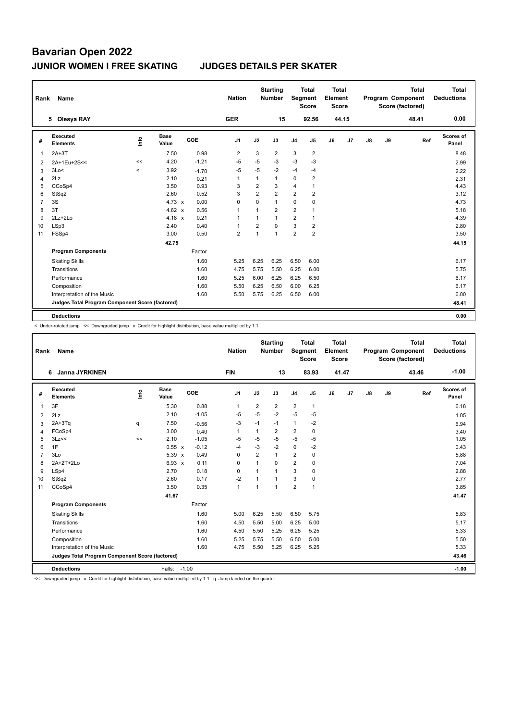| Rank | Name                                            |                          |                      |         | <b>Nation</b>  |                | <b>Starting</b><br><b>Number</b> | Segment        | <b>Total</b><br><b>Score</b> | <b>Total</b><br>Element<br><b>Score</b> |       |    |    | <b>Total</b><br>Program Component<br>Score (factored) | Total<br><b>Deductions</b> |
|------|-------------------------------------------------|--------------------------|----------------------|---------|----------------|----------------|----------------------------------|----------------|------------------------------|-----------------------------------------|-------|----|----|-------------------------------------------------------|----------------------------|
|      | 5 Olesya RAY                                    |                          |                      |         | <b>GER</b>     |                | 15                               |                | 92.56                        |                                         | 44.15 |    |    | 48.41                                                 | 0.00                       |
| #    | Executed<br><b>Elements</b>                     | ۴                        | <b>Base</b><br>Value | GOE     | J <sub>1</sub> | J2             | J3                               | J <sub>4</sub> | J <sub>5</sub>               | J6                                      | J7    | J8 | J9 | Ref                                                   | Scores of<br>Panel         |
| 1    | $2A+3T$                                         |                          | 7.50                 | 0.98    | $\overline{2}$ | 3              | $\overline{2}$                   | 3              | $\overline{2}$               |                                         |       |    |    |                                                       | 8.48                       |
| 2    | 2A+1Eu+2S<<                                     | <<                       | 4.20                 | $-1.21$ | $-5$           | -5             | -3                               | $-3$           | -3                           |                                         |       |    |    |                                                       | 2.99                       |
| 3    | 3Lo<                                            | $\overline{\phantom{a}}$ | 3.92                 | $-1.70$ | $-5$           | $-5$           | $-2$                             | $-4$           | $-4$                         |                                         |       |    |    |                                                       | 2.22                       |
| 4    | 2Lz                                             |                          | 2.10                 | 0.21    | $\overline{1}$ | 1              | $\mathbf{1}$                     | 0              | 2                            |                                         |       |    |    |                                                       | 2.31                       |
| 5    | CCoSp4                                          |                          | 3.50                 | 0.93    | 3              | $\overline{2}$ | 3                                | 4              | $\mathbf{1}$                 |                                         |       |    |    |                                                       | 4.43                       |
| 6    | StSq2                                           |                          | 2.60                 | 0.52    | 3              | $\overline{2}$ | $\overline{2}$                   | $\overline{2}$ | $\overline{2}$               |                                         |       |    |    |                                                       | 3.12                       |
| 7    | 3S                                              |                          | 4.73 $\times$        | 0.00    | 0              | $\Omega$       | $\mathbf{1}$                     | 0              | 0                            |                                         |       |    |    |                                                       | 4.73                       |
| 8    | 3T                                              |                          | 4.62 $\times$        | 0.56    | $\overline{1}$ | $\mathbf{1}$   | $\overline{2}$                   | $\overline{2}$ | 1                            |                                         |       |    |    |                                                       | 5.18                       |
| 9    | $2Lz + 2Lo$                                     |                          | 4.18 $x$             | 0.21    | $\mathbf{1}$   | $\mathbf{1}$   | $\mathbf{1}$                     | $\overline{2}$ | $\mathbf{1}$                 |                                         |       |    |    |                                                       | 4.39                       |
| 10   | LSp3                                            |                          | 2.40                 | 0.40    | $\overline{1}$ | $\overline{2}$ | $\Omega$                         | 3              | $\overline{2}$               |                                         |       |    |    |                                                       | 2.80                       |
| 11   | FSSp4                                           |                          | 3.00                 | 0.50    | $\overline{2}$ | $\mathbf{1}$   | 1                                | $\overline{2}$ | $\overline{2}$               |                                         |       |    |    |                                                       | 3.50                       |
|      |                                                 |                          | 42.75                |         |                |                |                                  |                |                              |                                         |       |    |    |                                                       | 44.15                      |
|      | <b>Program Components</b>                       |                          |                      | Factor  |                |                |                                  |                |                              |                                         |       |    |    |                                                       |                            |
|      | <b>Skating Skills</b>                           |                          |                      | 1.60    | 5.25           | 6.25           | 6.25                             | 6.50           | 6.00                         |                                         |       |    |    |                                                       | 6.17                       |
|      | Transitions                                     |                          |                      | 1.60    | 4.75           | 5.75           | 5.50                             | 6.25           | 6.00                         |                                         |       |    |    |                                                       | 5.75                       |
|      | Performance                                     |                          |                      | 1.60    | 5.25           | 6.00           | 6.25                             | 6.25           | 6.50                         |                                         |       |    |    |                                                       | 6.17                       |
|      | Composition                                     |                          |                      | 1.60    | 5.50           | 6.25           | 6.50                             | 6.00           | 6.25                         |                                         |       |    |    |                                                       | 6.17                       |
|      | Interpretation of the Music                     |                          |                      | 1.60    | 5.50           | 5.75           | 6.25                             | 6.50           | 6.00                         |                                         |       |    |    |                                                       | 6.00                       |
|      | Judges Total Program Component Score (factored) |                          |                      |         |                |                |                                  |                |                              |                                         |       |    |    |                                                       | 48.41                      |
|      | <b>Deductions</b>                               |                          |                      |         |                |                |                                  |                |                              |                                         |       |    |    |                                                       | 0.00                       |

< Under-rotated jump << Downgraded jump x Credit for highlight distribution, base value multiplied by 1.1

| Rank           | <b>Name</b>                                     |      |                      |            | <b>Nation</b>  |                | <b>Starting</b><br><b>Number</b> | Segment        | <b>Total</b><br><b>Score</b> | <b>Total</b><br>Element<br><b>Score</b> |                |    |    | <b>Total</b><br>Program Component<br>Score (factored) | <b>Total</b><br><b>Deductions</b> |
|----------------|-------------------------------------------------|------|----------------------|------------|----------------|----------------|----------------------------------|----------------|------------------------------|-----------------------------------------|----------------|----|----|-------------------------------------------------------|-----------------------------------|
|                | Janna JYRKINEN<br>6                             |      |                      |            | <b>FIN</b>     |                | 13                               |                | 83.93                        |                                         | 41.47          |    |    | 43.46                                                 | $-1.00$                           |
| #              | Executed<br><b>Elements</b>                     | ١nfo | <b>Base</b><br>Value | <b>GOE</b> | J <sub>1</sub> | J2             | J3                               | J <sub>4</sub> | J <sub>5</sub>               | J6                                      | J <sub>7</sub> | J8 | J9 | Ref                                                   | Scores of<br>Panel                |
| $\overline{1}$ | 3F                                              |      | 5.30                 | 0.88       | $\mathbf{1}$   | $\overline{2}$ | $\overline{2}$                   | $\overline{2}$ | $\mathbf{1}$                 |                                         |                |    |    |                                                       | 6.18                              |
| 2              | 2Lz                                             |      | 2.10                 | $-1.05$    | $-5$           | $-5$           | $-2$                             | $-5$           | $-5$                         |                                         |                |    |    |                                                       | 1.05                              |
| 3              | $2A+3Tq$                                        | q    | 7.50                 | $-0.56$    | $-3$           | $-1$           | $-1$                             | $\mathbf{1}$   | $-2$                         |                                         |                |    |    |                                                       | 6.94                              |
| 4              | FCoSp4                                          |      | 3.00                 | 0.40       | $\mathbf{1}$   | $\mathbf{1}$   | $\overline{2}$                   | $\overline{2}$ | $\mathbf 0$                  |                                         |                |    |    |                                                       | 3.40                              |
| 5              | 3Lz<<                                           | <<   | 2.10                 | $-1.05$    | $-5$           | $-5$           | $-5$                             | $-5$           | $-5$                         |                                         |                |    |    |                                                       | 1.05                              |
| 6              | 1F                                              |      | 0.55 x               | $-0.12$    | $-4$           | $-3$           | $-2$                             | $\mathbf 0$    | $-2$                         |                                         |                |    |    |                                                       | 0.43                              |
| $\overline{7}$ | 3Lo                                             |      | 5.39 x               | 0.49       | $\Omega$       | $\overline{2}$ | 1                                | $\overline{2}$ | 0                            |                                         |                |    |    |                                                       | 5.88                              |
| 8              | $2A+2T+2Lo$                                     |      | $6.93 \times$        | 0.11       | $\Omega$       | $\mathbf{1}$   | $\Omega$                         | $\overline{2}$ | $\Omega$                     |                                         |                |    |    |                                                       | 7.04                              |
| 9              | LSp4                                            |      | 2.70                 | 0.18       | 0              | $\overline{1}$ | $\mathbf{1}$                     | 3              | $\mathbf 0$                  |                                         |                |    |    |                                                       | 2.88                              |
| 10             | StSq2                                           |      | 2.60                 | 0.17       | $-2$           | 1              | 1                                | 3              | $\mathbf 0$                  |                                         |                |    |    |                                                       | 2.77                              |
| 11             | CCoSp4                                          |      | 3.50                 | 0.35       | $\mathbf{1}$   | 1              | 1                                | $\overline{2}$ | $\mathbf{1}$                 |                                         |                |    |    |                                                       | 3.85                              |
|                |                                                 |      | 41.67                |            |                |                |                                  |                |                              |                                         |                |    |    |                                                       | 41.47                             |
|                | <b>Program Components</b>                       |      |                      | Factor     |                |                |                                  |                |                              |                                         |                |    |    |                                                       |                                   |
|                | <b>Skating Skills</b>                           |      |                      | 1.60       | 5.00           | 6.25           | 5.50                             | 6.50           | 5.75                         |                                         |                |    |    |                                                       | 5.83                              |
|                | Transitions                                     |      |                      | 1.60       | 4.50           | 5.50           | 5.00                             | 6.25           | 5.00                         |                                         |                |    |    |                                                       | 5.17                              |
|                | Performance                                     |      |                      | 1.60       | 4.50           | 5.50           | 5.25                             | 6.25           | 5.25                         |                                         |                |    |    |                                                       | 5.33                              |
|                | Composition                                     |      |                      | 1.60       | 5.25           | 5.75           | 5.50                             | 6.50           | 5.00                         |                                         |                |    |    |                                                       | 5.50                              |
|                | Interpretation of the Music                     |      |                      | 1.60       | 4.75           | 5.50           | 5.25                             | 6.25           | 5.25                         |                                         |                |    |    |                                                       | 5.33                              |
|                | Judges Total Program Component Score (factored) |      |                      |            |                |                |                                  |                |                              |                                         |                |    |    |                                                       | 43.46                             |
|                | <b>Deductions</b>                               |      | Falls:               | $-1.00$    |                |                |                                  |                |                              |                                         |                |    |    |                                                       | $-1.00$                           |

<< Downgraded jump x Credit for highlight distribution, base value multiplied by 1.1 q Jump landed on the quarter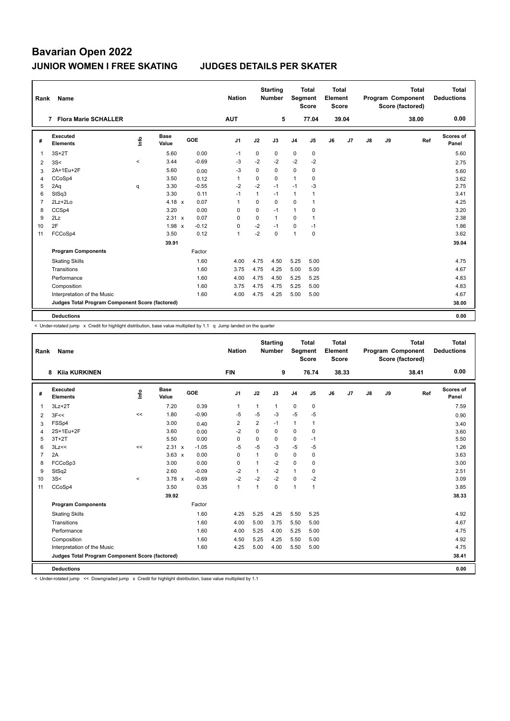| Rank           | Name                                            |       |                      |            | <b>Nation</b>  |              | <b>Starting</b><br><b>Number</b> | Segment        | <b>Total</b><br><b>Score</b> | <b>Total</b><br>Element<br><b>Score</b> |       |               |    | <b>Total</b><br><b>Program Component</b><br>Score (factored) | <b>Total</b><br><b>Deductions</b> |
|----------------|-------------------------------------------------|-------|----------------------|------------|----------------|--------------|----------------------------------|----------------|------------------------------|-----------------------------------------|-------|---------------|----|--------------------------------------------------------------|-----------------------------------|
|                | <b>Flora Marie SCHALLER</b><br>7                |       |                      |            | <b>AUT</b>     |              | 5                                |                | 77.04                        |                                         | 39.04 |               |    | 38.00                                                        | 0.00                              |
| #              | Executed<br><b>Elements</b>                     | ۴ů    | <b>Base</b><br>Value | <b>GOE</b> | J <sub>1</sub> | J2           | J3                               | J <sub>4</sub> | J5                           | J6                                      | J7    | $\mathsf{J}8$ | J9 | Ref                                                          | <b>Scores of</b><br>Panel         |
| 1              | $3S+2T$                                         |       | 5.60                 | 0.00       | $-1$           | 0            | 0                                | $\mathbf 0$    | $\mathbf 0$                  |                                         |       |               |    |                                                              | 5.60                              |
| 2              | 3S<                                             | $\,<$ | 3.44                 | $-0.69$    | -3             | $-2$         | $-2$                             | $-2$           | $-2$                         |                                         |       |               |    |                                                              | 2.75                              |
| 3              | 2A+1Eu+2F                                       |       | 5.60                 | 0.00       | -3             | 0            | 0                                | 0              | 0                            |                                         |       |               |    |                                                              | 5.60                              |
| 4              | CCoSp4                                          |       | 3.50                 | 0.12       | $\mathbf{1}$   | $\mathbf 0$  | 0                                | $\mathbf{1}$   | $\mathbf 0$                  |                                         |       |               |    |                                                              | 3.62                              |
| 5              | 2Aq                                             | q     | 3.30                 | $-0.55$    | $-2$           | $-2$         | $-1$                             | $-1$           | $-3$                         |                                         |       |               |    |                                                              | 2.75                              |
| 6              | StSq3                                           |       | 3.30                 | 0.11       | $-1$           | $\mathbf{1}$ | $-1$                             | $\mathbf{1}$   | 1                            |                                         |       |               |    |                                                              | 3.41                              |
| $\overline{7}$ | $2Lz+2Lo$                                       |       | $4.18 \times$        | 0.07       | $\mathbf{1}$   | $\Omega$     | 0                                | $\mathbf 0$    | $\mathbf{1}$                 |                                         |       |               |    |                                                              | 4.25                              |
| 8              | CCSp4                                           |       | 3.20                 | 0.00       | 0              | $\Omega$     | $-1$                             | $\mathbf{1}$   | 0                            |                                         |       |               |    |                                                              | 3.20                              |
| 9              | 2Lz                                             |       | 2.31 x               | 0.07       | 0              | 0            | 1                                | $\mathbf 0$    | $\mathbf{1}$                 |                                         |       |               |    |                                                              | 2.38                              |
| 10             | 2F                                              |       | 1.98 x               | $-0.12$    | 0              | $-2$         | $-1$                             | $\mathbf 0$    | $-1$                         |                                         |       |               |    |                                                              | 1.86                              |
| 11             | FCCoSp4                                         |       | 3.50                 | 0.12       | $\mathbf{1}$   | $-2$         | 0                                | $\overline{1}$ | $\mathbf 0$                  |                                         |       |               |    |                                                              | 3.62                              |
|                |                                                 |       | 39.91                |            |                |              |                                  |                |                              |                                         |       |               |    |                                                              | 39.04                             |
|                | <b>Program Components</b>                       |       |                      | Factor     |                |              |                                  |                |                              |                                         |       |               |    |                                                              |                                   |
|                | <b>Skating Skills</b>                           |       |                      | 1.60       | 4.00           | 4.75         | 4.50                             | 5.25           | 5.00                         |                                         |       |               |    |                                                              | 4.75                              |
|                | Transitions                                     |       |                      | 1.60       | 3.75           | 4.75         | 4.25                             | 5.00           | 5.00                         |                                         |       |               |    |                                                              | 4.67                              |
|                | Performance                                     |       |                      | 1.60       | 4.00           | 4.75         | 4.50                             | 5.25           | 5.25                         |                                         |       |               |    |                                                              | 4.83                              |
|                | Composition                                     |       |                      | 1.60       | 3.75           | 4.75         | 4.75                             | 5.25           | 5.00                         |                                         |       |               |    |                                                              | 4.83                              |
|                | Interpretation of the Music                     |       |                      | 1.60       | 4.00           | 4.75         | 4.25                             | 5.00           | 5.00                         |                                         |       |               |    |                                                              | 4.67                              |
|                | Judges Total Program Component Score (factored) |       |                      |            |                |              |                                  |                |                              |                                         |       |               |    |                                                              | 38.00                             |
|                | <b>Deductions</b>                               |       |                      |            |                |              |                                  |                |                              |                                         |       |               |    |                                                              | 0.00                              |

< Under-rotated jump x Credit for highlight distribution, base value multiplied by 1.1 q Jump landed on the quarter

| Rank           | Name                                            |                                  |                      |            | <b>Nation</b>  |                | <b>Starting</b><br><b>Number</b> | Segment        | <b>Total</b><br><b>Score</b> | <b>Total</b><br>Element<br>Score |       |               |    | <b>Total</b><br>Program Component<br>Score (factored) | <b>Total</b><br><b>Deductions</b> |
|----------------|-------------------------------------------------|----------------------------------|----------------------|------------|----------------|----------------|----------------------------------|----------------|------------------------------|----------------------------------|-------|---------------|----|-------------------------------------------------------|-----------------------------------|
|                | <b>Kija KURKINEN</b><br>8                       |                                  |                      |            | <b>FIN</b>     |                | 9                                |                | 76.74                        |                                  | 38.33 |               |    | 38.41                                                 | 0.00                              |
| #              | Executed<br><b>Elements</b>                     | $\mathop{\mathsf{Irr}}\nolimits$ | <b>Base</b><br>Value | <b>GOE</b> | J <sub>1</sub> | J2             | J3                               | J <sub>4</sub> | J5                           | J6                               | J7    | $\mathsf{J}8$ | J9 | Ref                                                   | Scores of<br>Panel                |
| 1              | $3Lz + 2T$                                      |                                  | 7.20                 | 0.39       | $\mathbf{1}$   | $\mathbf{1}$   | $\mathbf{1}$                     | $\mathbf 0$    | $\mathbf 0$                  |                                  |       |               |    |                                                       | 7.59                              |
| 2              | 3F<<                                            | <<                               | 1.80                 | $-0.90$    | -5             | $-5$           | $-3$                             | $-5$           | $-5$                         |                                  |       |               |    |                                                       | 0.90                              |
| 3              | FSSp4                                           |                                  | 3.00                 | 0.40       | $\overline{2}$ | $\overline{2}$ | $-1$                             | $\mathbf{1}$   | $\mathbf{1}$                 |                                  |       |               |    |                                                       | 3.40                              |
| 4              | 2S+1Eu+2F                                       |                                  | 3.60                 | 0.00       | $-2$           | $\mathbf 0$    | $\mathbf 0$                      | $\mathbf 0$    | 0                            |                                  |       |               |    |                                                       | 3.60                              |
| 5              | $3T+2T$                                         |                                  | 5.50                 | 0.00       | $\mathbf 0$    | $\mathbf 0$    | 0                                | $\mathbf 0$    | $-1$                         |                                  |       |               |    |                                                       | 5.50                              |
| 6              | 3Lz<<                                           | <<                               | 2.31 x               | $-1.05$    | -5             | $-5$           | $-3$                             | $-5$           | $-5$                         |                                  |       |               |    |                                                       | 1.26                              |
| $\overline{7}$ | 2A                                              |                                  | $3.63 \times$        | 0.00       | $\mathbf 0$    | $\mathbf{1}$   | $\mathbf 0$                      | $\mathbf 0$    | $\mathbf 0$                  |                                  |       |               |    |                                                       | 3.63                              |
| 8              | FCCoSp3                                         |                                  | 3.00                 | 0.00       | 0              | 1              | $-2$                             | $\mathbf 0$    | 0                            |                                  |       |               |    |                                                       | 3.00                              |
| 9              | StSq2                                           |                                  | 2.60                 | $-0.09$    | $-2$           | 1              | $-2$                             | $\mathbf{1}$   | 0                            |                                  |       |               |    |                                                       | 2.51                              |
| 10             | 3S<                                             | $\prec$                          | $3.78 \times$        | $-0.69$    | $-2$           | $-2$           | $-2$                             | $\mathbf 0$    | $-2$                         |                                  |       |               |    |                                                       | 3.09                              |
| 11             | CCoSp4                                          |                                  | 3.50                 | 0.35       | $\overline{1}$ | 1              | $\mathbf 0$                      | $\mathbf{1}$   | $\mathbf{1}$                 |                                  |       |               |    |                                                       | 3.85                              |
|                |                                                 |                                  | 39.92                |            |                |                |                                  |                |                              |                                  |       |               |    |                                                       | 38.33                             |
|                | <b>Program Components</b>                       |                                  |                      | Factor     |                |                |                                  |                |                              |                                  |       |               |    |                                                       |                                   |
|                | <b>Skating Skills</b>                           |                                  |                      | 1.60       | 4.25           | 5.25           | 4.25                             | 5.50           | 5.25                         |                                  |       |               |    |                                                       | 4.92                              |
|                | Transitions                                     |                                  |                      | 1.60       | 4.00           | 5.00           | 3.75                             | 5.50           | 5.00                         |                                  |       |               |    |                                                       | 4.67                              |
|                | Performance                                     |                                  |                      | 1.60       | 4.00           | 5.25           | 4.00                             | 5.25           | 5.00                         |                                  |       |               |    |                                                       | 4.75                              |
|                | Composition                                     |                                  |                      | 1.60       | 4.50           | 5.25           | 4.25                             | 5.50           | 5.00                         |                                  |       |               |    |                                                       | 4.92                              |
|                | Interpretation of the Music                     |                                  |                      | 1.60       | 4.25           | 5.00           | 4.00                             | 5.50           | 5.00                         |                                  |       |               |    |                                                       | 4.75                              |
|                | Judges Total Program Component Score (factored) |                                  |                      |            |                |                |                                  |                |                              |                                  |       |               |    |                                                       | 38.41                             |
|                | <b>Deductions</b>                               |                                  |                      |            |                |                |                                  |                |                              |                                  |       |               |    |                                                       | 0.00                              |

< Under-rotated jump << Downgraded jump x Credit for highlight distribution, base value multiplied by 1.1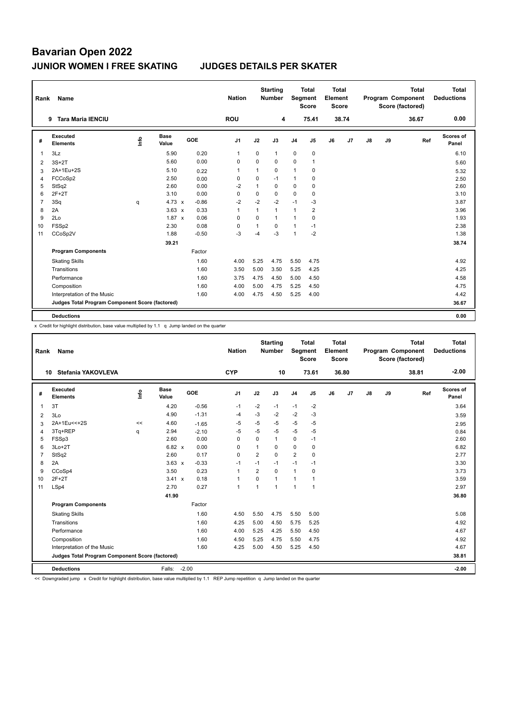| Rank           | Name                                            |                                  |               |         | <b>Nation</b>  |              | <b>Starting</b><br><b>Number</b> | Segment        | Total<br><b>Score</b> | <b>Total</b><br>Element<br><b>Score</b> |       |               |    | <b>Total</b><br>Program Component<br>Score (factored) | Total<br><b>Deductions</b> |
|----------------|-------------------------------------------------|----------------------------------|---------------|---------|----------------|--------------|----------------------------------|----------------|-----------------------|-----------------------------------------|-------|---------------|----|-------------------------------------------------------|----------------------------|
|                | <b>Tara Maria IENCIU</b><br>9                   |                                  |               |         | <b>ROU</b>     |              | 4                                |                | 75.41                 |                                         | 38.74 |               |    | 36.67                                                 | 0.00                       |
| #              | Executed<br><b>Elements</b>                     | $\mathop{\mathsf{Irr}}\nolimits$ | Base<br>Value | GOE     | J1             | J2           | J3                               | J <sub>4</sub> | J <sub>5</sub>        | J6                                      | J7    | $\mathsf{J}8$ | J9 | Ref                                                   | Scores of<br>Panel         |
| 1              | 3Lz                                             |                                  | 5.90          | 0.20    | $\mathbf{1}$   | 0            | $\mathbf{1}$                     | $\mathbf 0$    | $\mathbf 0$           |                                         |       |               |    |                                                       | 6.10                       |
| 2              | $3S+2T$                                         |                                  | 5.60          | 0.00    | 0              | 0            | 0                                | $\mathbf 0$    | 1                     |                                         |       |               |    |                                                       | 5.60                       |
| 3              | 2A+1Eu+2S                                       |                                  | 5.10          | 0.22    | $\overline{1}$ | $\mathbf{1}$ | 0                                | $\mathbf{1}$   | 0                     |                                         |       |               |    |                                                       | 5.32                       |
| 4              | FCCoSp2                                         |                                  | 2.50          | 0.00    | 0              | 0            | $-1$                             | $\mathbf{1}$   | 0                     |                                         |       |               |    |                                                       | 2.50                       |
| 5              | StSq2                                           |                                  | 2.60          | 0.00    | $-2$           | $\mathbf{1}$ | 0                                | 0              | 0                     |                                         |       |               |    |                                                       | 2.60                       |
| 6              | $2F+2T$                                         |                                  | 3.10          | 0.00    | $\Omega$       | $\Omega$     | 0                                | $\Omega$       | 0                     |                                         |       |               |    |                                                       | 3.10                       |
| $\overline{7}$ | 3Sq                                             | q                                | $4.73 \times$ | $-0.86$ | $-2$           | $-2$         | $-2$                             | $-1$           | $-3$                  |                                         |       |               |    |                                                       | 3.87                       |
| 8              | 2A                                              |                                  | $3.63 \times$ | 0.33    | $\mathbf{1}$   | $\mathbf{1}$ | 1                                | $\overline{1}$ | $\overline{2}$        |                                         |       |               |    |                                                       | 3.96                       |
| 9              | 2Lo                                             |                                  | $1.87 \times$ | 0.06    | $\Omega$       | $\Omega$     | 1                                | $\overline{1}$ | $\Omega$              |                                         |       |               |    |                                                       | 1.93                       |
| 10             | FSSp2                                           |                                  | 2.30          | 0.08    | $\mathbf 0$    | 1            | $\Omega$                         | $\overline{1}$ | $-1$                  |                                         |       |               |    |                                                       | 2.38                       |
| 11             | CCoSp2V                                         |                                  | 1.88          | $-0.50$ | $-3$           | $-4$         | $-3$                             | $\overline{1}$ | $-2$                  |                                         |       |               |    |                                                       | 1.38                       |
|                |                                                 |                                  | 39.21         |         |                |              |                                  |                |                       |                                         |       |               |    |                                                       | 38.74                      |
|                | <b>Program Components</b>                       |                                  |               | Factor  |                |              |                                  |                |                       |                                         |       |               |    |                                                       |                            |
|                | <b>Skating Skills</b>                           |                                  |               | 1.60    | 4.00           | 5.25         | 4.75                             | 5.50           | 4.75                  |                                         |       |               |    |                                                       | 4.92                       |
|                | Transitions                                     |                                  |               | 1.60    | 3.50           | 5.00         | 3.50                             | 5.25           | 4.25                  |                                         |       |               |    |                                                       | 4.25                       |
|                | Performance                                     |                                  |               | 1.60    | 3.75           | 4.75         | 4.50                             | 5.00           | 4.50                  |                                         |       |               |    |                                                       | 4.58                       |
|                | Composition                                     |                                  |               | 1.60    | 4.00           | 5.00         | 4.75                             | 5.25           | 4.50                  |                                         |       |               |    |                                                       | 4.75                       |
|                | Interpretation of the Music                     |                                  |               | 1.60    | 4.00           | 4.75         | 4.50                             | 5.25           | 4.00                  |                                         |       |               |    |                                                       | 4.42                       |
|                | Judges Total Program Component Score (factored) |                                  |               |         |                |              |                                  |                |                       |                                         |       |               |    |                                                       | 36.67                      |
|                | <b>Deductions</b>                               |                                  |               |         |                |              |                                  |                |                       |                                         |       |               |    |                                                       | 0.00                       |

x Credit for highlight distribution, base value multiplied by 1.1 q Jump landed on the quarter

| Rank           | <b>Name</b>                                     |      |                      |         | <b>Nation</b>  |                | <b>Starting</b><br><b>Number</b> | Segment        | <b>Total</b><br><b>Score</b> | Total<br>Element<br><b>Score</b> |       |    |    | <b>Total</b><br>Program Component<br>Score (factored) | <b>Total</b><br><b>Deductions</b> |
|----------------|-------------------------------------------------|------|----------------------|---------|----------------|----------------|----------------------------------|----------------|------------------------------|----------------------------------|-------|----|----|-------------------------------------------------------|-----------------------------------|
|                | Stefania YAKOVLEVA<br>10                        |      |                      |         | <b>CYP</b>     |                | 10                               |                | 73.61                        |                                  | 36.80 |    |    | 38.81                                                 | $-2.00$                           |
| #              | Executed<br><b>Elements</b>                     | ١nfo | <b>Base</b><br>Value | GOE     | J <sub>1</sub> | J2             | J3                               | J <sub>4</sub> | J5                           | J6                               | J7    | J8 | J9 | Ref                                                   | <b>Scores of</b><br>Panel         |
| $\mathbf{1}$   | 3T                                              |      | 4.20                 | $-0.56$ | $-1$           | $-2$           | $-1$                             | $-1$           | $-2$                         |                                  |       |    |    |                                                       | 3.64                              |
| 2              | 3Lo                                             |      | 4.90                 | $-1.31$ | $-4$           | $-3$           | $-2$                             | $-2$           | $-3$                         |                                  |       |    |    |                                                       | 3.59                              |
| 3              | 2A+1Eu << + 2S                                  | <<   | 4.60                 | $-1.65$ | -5             | $-5$           | $-5$                             | -5             | $-5$                         |                                  |       |    |    |                                                       | 2.95                              |
| $\overline{4}$ | 3Tq+REP                                         | q    | 2.94                 | $-2.10$ | -5             | $-5$           | $-5$                             | $-5$           | $-5$                         |                                  |       |    |    |                                                       | 0.84                              |
| 5              | FSSp3                                           |      | 2.60                 | 0.00    | 0              | $\Omega$       | $\mathbf{1}$                     | $\mathbf 0$    | $-1$                         |                                  |       |    |    |                                                       | 2.60                              |
| 6              | $3Lo+2T$                                        |      | 6.82 x               | 0.00    | $\mathbf 0$    | $\overline{1}$ | $\Omega$                         | $\mathbf 0$    | 0                            |                                  |       |    |    |                                                       | 6.82                              |
| $\overline{7}$ | StSq2                                           |      | 2.60                 | 0.17    | $\mathbf 0$    | $\overline{2}$ | $\Omega$                         | 2              | $\mathbf 0$                  |                                  |       |    |    |                                                       | 2.77                              |
| 8              | 2A                                              |      | $3.63 \times$        | $-0.33$ | $-1$           | $-1$           | $-1$                             | $-1$           | $-1$                         |                                  |       |    |    |                                                       | 3.30                              |
| 9              | CCoSp4                                          |      | 3.50                 | 0.23    | $\mathbf{1}$   | $\overline{2}$ | $\Omega$                         | $\mathbf{1}$   | 0                            |                                  |       |    |    |                                                       | 3.73                              |
| 10             | $2F+2T$                                         |      | $3.41 \times$        | 0.18    | $\mathbf{1}$   | $\Omega$       | 1                                | $\mathbf{1}$   |                              |                                  |       |    |    |                                                       | 3.59                              |
| 11             | LSp4                                            |      | 2.70                 | 0.27    | $\mathbf{1}$   | $\overline{1}$ | $\mathbf{1}$                     | $\overline{1}$ | $\overline{1}$               |                                  |       |    |    |                                                       | 2.97                              |
|                |                                                 |      | 41.90                |         |                |                |                                  |                |                              |                                  |       |    |    |                                                       | 36.80                             |
|                | <b>Program Components</b>                       |      |                      | Factor  |                |                |                                  |                |                              |                                  |       |    |    |                                                       |                                   |
|                | <b>Skating Skills</b>                           |      |                      | 1.60    | 4.50           | 5.50           | 4.75                             | 5.50           | 5.00                         |                                  |       |    |    |                                                       | 5.08                              |
|                | Transitions                                     |      |                      | 1.60    | 4.25           | 5.00           | 4.50                             | 5.75           | 5.25                         |                                  |       |    |    |                                                       | 4.92                              |
|                | Performance                                     |      |                      | 1.60    | 4.00           | 5.25           | 4.25                             | 5.50           | 4.50                         |                                  |       |    |    |                                                       | 4.67                              |
|                | Composition                                     |      |                      | 1.60    | 4.50           | 5.25           | 4.75                             | 5.50           | 4.75                         |                                  |       |    |    |                                                       | 4.92                              |
|                | Interpretation of the Music                     |      |                      | 1.60    | 4.25           | 5.00           | 4.50                             | 5.25           | 4.50                         |                                  |       |    |    |                                                       | 4.67                              |
|                | Judges Total Program Component Score (factored) |      |                      |         |                |                |                                  |                |                              |                                  |       |    |    |                                                       | 38.81                             |
|                | <b>Deductions</b>                               |      | Falls: -2.00         |         |                |                |                                  |                |                              |                                  |       |    |    |                                                       | $-2.00$                           |

<< Downgraded jump x Credit for highlight distribution, base value multiplied by 1.1 REP Jump repetition q Jump landed on the quarter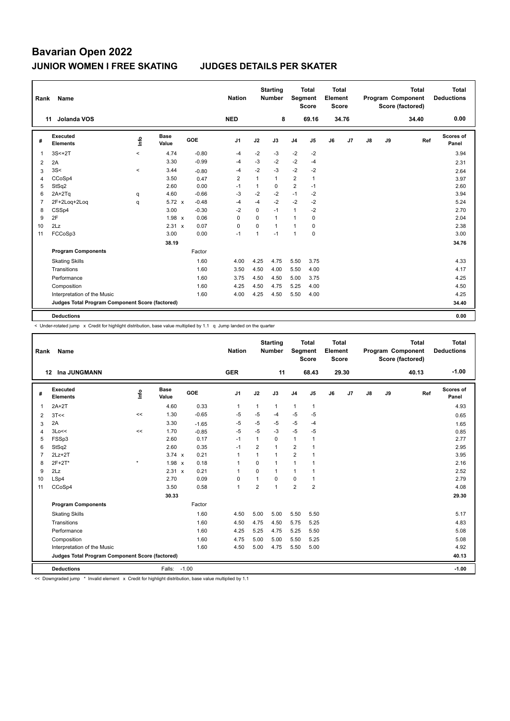| Rank | Name                                            |                          |                      |         | <b>Nation</b>  |                | <b>Starting</b><br><b>Number</b> |                | <b>Total</b><br>Segment<br><b>Score</b> | <b>Total</b><br>Element<br><b>Score</b> |                |    |    | <b>Total</b><br>Program Component<br>Score (factored) | <b>Total</b><br><b>Deductions</b> |
|------|-------------------------------------------------|--------------------------|----------------------|---------|----------------|----------------|----------------------------------|----------------|-----------------------------------------|-----------------------------------------|----------------|----|----|-------------------------------------------------------|-----------------------------------|
|      | Jolanda VOS<br>11                               |                          |                      |         | <b>NED</b>     |                | 8                                |                | 69.16                                   |                                         | 34.76          |    |    | 34.40                                                 | 0.00                              |
| #    | <b>Executed</b><br><b>Elements</b>              | ۴                        | <b>Base</b><br>Value | GOE     | J <sub>1</sub> | J2             | J3                               | J <sub>4</sub> | J5                                      | J6                                      | J <sub>7</sub> | J8 | J9 | Ref                                                   | Scores of<br>Panel                |
|      | $3S<+2T$                                        | $\,<\,$                  | 4.74                 | $-0.80$ | $-4$           | $-2$           | $-3$                             | $-2$           | $-2$                                    |                                         |                |    |    |                                                       | 3.94                              |
| 2    | 2A                                              |                          | 3.30                 | $-0.99$ | $-4$           | $-3$           | $-2$                             | $-2$           | $-4$                                    |                                         |                |    |    |                                                       | 2.31                              |
| 3    | 3S<                                             | $\overline{\phantom{a}}$ | 3.44                 | $-0.80$ | $-4$           | $-2$           | $-3$                             | $-2$           | $-2$                                    |                                         |                |    |    |                                                       | 2.64                              |
| 4    | CCoSp4                                          |                          | 3.50                 | 0.47    | $\overline{2}$ | $\mathbf{1}$   | $\mathbf{1}$                     | 2              | 1                                       |                                         |                |    |    |                                                       | 3.97                              |
| 5    | StSq2                                           |                          | 2.60                 | 0.00    | $-1$           | $\mathbf{1}$   | $\mathbf 0$                      | 2              | $-1$                                    |                                         |                |    |    |                                                       | 2.60                              |
| 6    | $2A+2Tq$                                        | q                        | 4.60                 | $-0.66$ | $-3$           | $-2$           | $-2$                             | $-1$           | $-2$                                    |                                         |                |    |    |                                                       | 3.94                              |
|      | 2F+2Loq+2Loq                                    | q                        | $5.72 \times$        | $-0.48$ | $-4$           | $-4$           | $-2$                             | $-2$           | $-2$                                    |                                         |                |    |    |                                                       | 5.24                              |
| 8    | CSSp4                                           |                          | 3.00                 | $-0.30$ | $-2$           | $\mathbf 0$    | $-1$                             | $\mathbf{1}$   | $-2$                                    |                                         |                |    |    |                                                       | 2.70                              |
| 9    | 2F                                              |                          | $1.98 \times$        | 0.06    | 0              | $\mathbf 0$    | $\mathbf{1}$                     | $\mathbf{1}$   | 0                                       |                                         |                |    |    |                                                       | 2.04                              |
| 10   | 2Lz                                             |                          | 2.31 x               | 0.07    | $\Omega$       | $\Omega$       | $\mathbf{1}$                     | $\mathbf{1}$   | $\Omega$                                |                                         |                |    |    |                                                       | 2.38                              |
| 11   | FCCoSp3                                         |                          | 3.00                 | 0.00    | $-1$           | $\overline{1}$ | $-1$                             | $\mathbf{1}$   | 0                                       |                                         |                |    |    |                                                       | 3.00                              |
|      |                                                 |                          | 38.19                |         |                |                |                                  |                |                                         |                                         |                |    |    |                                                       | 34.76                             |
|      | <b>Program Components</b>                       |                          |                      | Factor  |                |                |                                  |                |                                         |                                         |                |    |    |                                                       |                                   |
|      | <b>Skating Skills</b>                           |                          |                      | 1.60    | 4.00           | 4.25           | 4.75                             | 5.50           | 3.75                                    |                                         |                |    |    |                                                       | 4.33                              |
|      | Transitions                                     |                          |                      | 1.60    | 3.50           | 4.50           | 4.00                             | 5.50           | 4.00                                    |                                         |                |    |    |                                                       | 4.17                              |
|      | Performance                                     |                          |                      | 1.60    | 3.75           | 4.50           | 4.50                             | 5.00           | 3.75                                    |                                         |                |    |    |                                                       | 4.25                              |
|      | Composition                                     |                          |                      | 1.60    | 4.25           | 4.50           | 4.75                             | 5.25           | 4.00                                    |                                         |                |    |    |                                                       | 4.50                              |
|      | Interpretation of the Music                     |                          |                      | 1.60    | 4.00           | 4.25           | 4.50                             | 5.50           | 4.00                                    |                                         |                |    |    |                                                       | 4.25                              |
|      | Judges Total Program Component Score (factored) |                          |                      |         |                |                |                                  |                |                                         |                                         |                |    |    |                                                       | 34.40                             |
|      | <b>Deductions</b>                               |                          |                      |         |                |                |                                  |                |                                         |                                         |                |    |    |                                                       | 0.00                              |

< Under-rotated jump x Credit for highlight distribution, base value multiplied by 1.1 q Jump landed on the quarter

| Rank           | Name                                            |         |                      |         | <b>Nation</b>  |                | <b>Starting</b><br><b>Number</b> | Segment        | <b>Total</b><br><b>Score</b> | <b>Total</b><br>Element<br><b>Score</b> |       |    |    | <b>Total</b><br>Program Component<br>Score (factored) | <b>Total</b><br><b>Deductions</b> |
|----------------|-------------------------------------------------|---------|----------------------|---------|----------------|----------------|----------------------------------|----------------|------------------------------|-----------------------------------------|-------|----|----|-------------------------------------------------------|-----------------------------------|
|                | Ina JUNGMANN<br>12                              |         |                      |         | <b>GER</b>     |                | 11                               |                | 68.43                        |                                         | 29.30 |    |    | 40.13                                                 | $-1.00$                           |
| #              | <b>Executed</b><br><b>Elements</b>              | ۴       | <b>Base</b><br>Value | GOE     | J <sub>1</sub> | J2             | J3                               | J <sub>4</sub> | J <sub>5</sub>               | J6                                      | J7    | J8 | J9 | Ref                                                   | Scores of<br>Panel                |
| 1              | $2A+2T$                                         |         | 4.60                 | 0.33    | $\mathbf{1}$   | $\mathbf{1}$   | $\mathbf{1}$                     | $\mathbf{1}$   | $\mathbf{1}$                 |                                         |       |    |    |                                                       | 4.93                              |
| $\overline{2}$ | 3T<<                                            | <<      | 1.30                 | $-0.65$ | $-5$           | $-5$           | $-4$                             | $-5$           | $-5$                         |                                         |       |    |    |                                                       | 0.65                              |
| 3              | 2A                                              |         | 3.30                 | $-1.65$ | $-5$           | $-5$           | $-5$                             | $-5$           | $-4$                         |                                         |       |    |    |                                                       | 1.65                              |
| $\overline{4}$ | 3Lo<<                                           | <<      | 1.70                 | $-0.85$ | $-5$           | $-5$           | $-3$                             | $-5$           | $-5$                         |                                         |       |    |    |                                                       | 0.85                              |
| 5              | FSSp3                                           |         | 2.60                 | 0.17    | $-1$           | $\mathbf{1}$   | 0                                | $\mathbf{1}$   | $\mathbf{1}$                 |                                         |       |    |    |                                                       | 2.77                              |
| 6              | StSq2                                           |         | 2.60                 | 0.35    | $-1$           | $\overline{2}$ | $\mathbf{1}$                     | $\overline{2}$ | $\overline{1}$               |                                         |       |    |    |                                                       | 2.95                              |
| $\overline{7}$ | $2Lz+2T$                                        |         | $3.74 \times$        | 0.21    | $\overline{1}$ | $\mathbf{1}$   | $\mathbf{1}$                     | $\overline{2}$ | $\overline{1}$               |                                         |       |    |    |                                                       | 3.95                              |
| 8              | 2F+2T*                                          | $\star$ | 1.98 x               | 0.18    | $\mathbf{1}$   | $\Omega$       | 1                                | 1              |                              |                                         |       |    |    |                                                       | 2.16                              |
| 9              | 2Lz                                             |         | 2.31 x               | 0.21    | $\overline{1}$ | $\Omega$       | $\mathbf{1}$                     | 1              | $\overline{1}$               |                                         |       |    |    |                                                       | 2.52                              |
| 10             | LSp4                                            |         | 2.70                 | 0.09    | $\Omega$       | 1              | $\Omega$                         | 0              | $\mathbf{1}$                 |                                         |       |    |    |                                                       | 2.79                              |
| 11             | CCoSp4                                          |         | 3.50                 | 0.58    | $\overline{1}$ | 2              | $\overline{1}$                   | 2              | $\overline{2}$               |                                         |       |    |    |                                                       | 4.08                              |
|                |                                                 |         | 30.33                |         |                |                |                                  |                |                              |                                         |       |    |    |                                                       | 29.30                             |
|                | <b>Program Components</b>                       |         |                      | Factor  |                |                |                                  |                |                              |                                         |       |    |    |                                                       |                                   |
|                | <b>Skating Skills</b>                           |         |                      | 1.60    | 4.50           | 5.00           | 5.00                             | 5.50           | 5.50                         |                                         |       |    |    |                                                       | 5.17                              |
|                | Transitions                                     |         |                      | 1.60    | 4.50           | 4.75           | 4.50                             | 5.75           | 5.25                         |                                         |       |    |    |                                                       | 4.83                              |
|                | Performance                                     |         |                      | 1.60    | 4.25           | 5.25           | 4.75                             | 5.25           | 5.50                         |                                         |       |    |    |                                                       | 5.08                              |
|                | Composition                                     |         |                      | 1.60    | 4.75           | 5.00           | 5.00                             | 5.50           | 5.25                         |                                         |       |    |    |                                                       | 5.08                              |
|                | Interpretation of the Music                     |         |                      | 1.60    | 4.50           | 5.00           | 4.75                             | 5.50           | 5.00                         |                                         |       |    |    |                                                       | 4.92                              |
|                | Judges Total Program Component Score (factored) |         |                      |         |                |                |                                  |                |                              |                                         |       |    |    |                                                       | 40.13                             |
|                | <b>Deductions</b>                               |         | Falls:               | $-1.00$ |                |                |                                  |                |                              |                                         |       |    |    |                                                       | $-1.00$                           |

<< Downgraded jump \* Invalid element x Credit for highlight distribution, base value multiplied by 1.1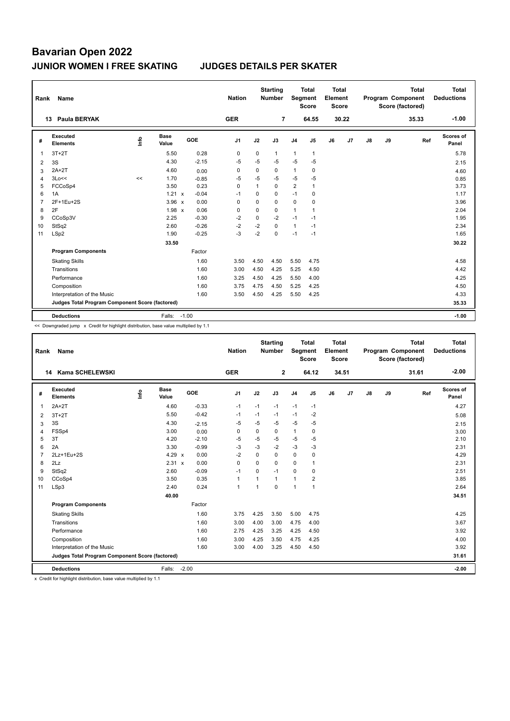| Rank           | Name                                            |      |                      |         |         | <b>Nation</b>  |              | <b>Starting</b><br><b>Number</b> |                | <b>Total</b><br>Segment<br><b>Score</b> | <b>Total</b><br>Element<br><b>Score</b> |       |               |    | <b>Total</b><br>Program Component<br>Score (factored) | Total<br><b>Deductions</b> |
|----------------|-------------------------------------------------|------|----------------------|---------|---------|----------------|--------------|----------------------------------|----------------|-----------------------------------------|-----------------------------------------|-------|---------------|----|-------------------------------------------------------|----------------------------|
|                | Paula BERYAK<br>13                              |      |                      |         |         | <b>GER</b>     |              | $\overline{7}$                   |                | 64.55                                   |                                         | 30.22 |               |    | 35.33                                                 | $-1.00$                    |
| #              | Executed<br><b>Elements</b>                     | ١nfo | <b>Base</b><br>Value | GOE     |         | J <sub>1</sub> | J2           | J3                               | J <sub>4</sub> | J <sub>5</sub>                          | J6                                      | J7    | $\mathsf{J}8$ | J9 | Ref                                                   | Scores of<br>Panel         |
| 1              | $3T+2T$                                         |      | 5.50                 |         | 0.28    | 0              | 0            | $\mathbf{1}$                     | $\mathbf{1}$   | $\mathbf{1}$                            |                                         |       |               |    |                                                       | 5.78                       |
| 2              | 3S                                              |      | 4.30                 |         | $-2.15$ | $-5$           | $-5$         | $-5$                             | $-5$           | $-5$                                    |                                         |       |               |    |                                                       | 2.15                       |
| 3              | $2A+2T$                                         |      | 4.60                 |         | 0.00    | 0              | $\mathbf 0$  | 0                                | $\mathbf{1}$   | $\pmb{0}$                               |                                         |       |               |    |                                                       | 4.60                       |
| $\overline{4}$ | 3Lo<<                                           | <<   | 1.70                 |         | $-0.85$ | $-5$           | $-5$         | $-5$                             | $-5$           | -5                                      |                                         |       |               |    |                                                       | 0.85                       |
| 5              | FCCoSp4                                         |      | 3.50                 |         | 0.23    | $\Omega$       | $\mathbf{1}$ | $\Omega$                         | $\overline{2}$ | $\mathbf{1}$                            |                                         |       |               |    |                                                       | 3.73                       |
| 6              | 1A                                              |      | 1.21 x               |         | $-0.04$ | $-1$           | $\Omega$     | $\Omega$                         | $-1$           | 0                                       |                                         |       |               |    |                                                       | 1.17                       |
| 7              | 2F+1Eu+2S                                       |      | $3.96 \times$        |         | 0.00    | 0              | $\mathbf 0$  | $\mathbf 0$                      | $\mathbf 0$    | $\mathbf 0$                             |                                         |       |               |    |                                                       | 3.96                       |
| 8              | 2F                                              |      | $1.98 \times$        |         | 0.06    | 0              | 0            | 0                                | $\mathbf{1}$   | $\overline{1}$                          |                                         |       |               |    |                                                       | 2.04                       |
| 9              | CCoSp3V                                         |      | 2.25                 |         | $-0.30$ | $-2$           | $\mathbf 0$  | $-2$                             | $-1$           | $-1$                                    |                                         |       |               |    |                                                       | 1.95                       |
| 10             | StSq2                                           |      | 2.60                 |         | $-0.26$ | $-2$           | $-2$         | $\Omega$                         | $\mathbf{1}$   | $-1$                                    |                                         |       |               |    |                                                       | 2.34                       |
| 11             | LSp2                                            |      | 1.90                 |         | $-0.25$ | $-3$           | $-2$         | $\mathbf 0$                      | $-1$           | $-1$                                    |                                         |       |               |    |                                                       | 1.65                       |
|                |                                                 |      | 33.50                |         |         |                |              |                                  |                |                                         |                                         |       |               |    |                                                       | 30.22                      |
|                | <b>Program Components</b>                       |      |                      |         | Factor  |                |              |                                  |                |                                         |                                         |       |               |    |                                                       |                            |
|                | <b>Skating Skills</b>                           |      |                      |         | 1.60    | 3.50           | 4.50         | 4.50                             | 5.50           | 4.75                                    |                                         |       |               |    |                                                       | 4.58                       |
|                | Transitions                                     |      |                      |         | 1.60    | 3.00           | 4.50         | 4.25                             | 5.25           | 4.50                                    |                                         |       |               |    |                                                       | 4.42                       |
|                | Performance                                     |      |                      |         | 1.60    | 3.25           | 4.50         | 4.25                             | 5.50           | 4.00                                    |                                         |       |               |    |                                                       | 4.25                       |
|                | Composition                                     |      |                      |         | 1.60    | 3.75           | 4.75         | 4.50                             | 5.25           | 4.25                                    |                                         |       |               |    |                                                       | 4.50                       |
|                | Interpretation of the Music                     |      |                      |         | 1.60    | 3.50           | 4.50         | 4.25                             | 5.50           | 4.25                                    |                                         |       |               |    |                                                       | 4.33                       |
|                | Judges Total Program Component Score (factored) |      |                      |         |         |                |              |                                  |                |                                         |                                         |       |               |    |                                                       | 35.33                      |
|                | <b>Deductions</b>                               |      | Falls:               | $-1.00$ |         |                |              |                                  |                |                                         |                                         |       |               |    |                                                       | $-1.00$                    |

<< Downgraded jump x Credit for highlight distribution, base value multiplied by 1.1

| Rank           | Name                                            |      |                      |         | <b>Nation</b>  |             | <b>Starting</b><br><b>Number</b> | Segment        | <b>Total</b><br><b>Score</b> | <b>Total</b><br>Element<br><b>Score</b> |       |               |    | <b>Total</b><br>Program Component<br>Score (factored) | <b>Total</b><br><b>Deductions</b> |
|----------------|-------------------------------------------------|------|----------------------|---------|----------------|-------------|----------------------------------|----------------|------------------------------|-----------------------------------------|-------|---------------|----|-------------------------------------------------------|-----------------------------------|
|                | Kama SCHELEWSKI<br>14                           |      |                      |         | <b>GER</b>     |             | $\mathbf{2}$                     |                | 64.12                        |                                         | 34.51 |               |    | 31.61                                                 | $-2.00$                           |
| #              | Executed<br><b>Elements</b>                     | lnfo | <b>Base</b><br>Value | GOE     | J <sub>1</sub> | J2          | J3                               | J <sub>4</sub> | J5                           | J6                                      | J7    | $\mathsf{J}8$ | J9 | Ref                                                   | <b>Scores of</b><br>Panel         |
| $\mathbf{1}$   | $2A+2T$                                         |      | 4.60                 | $-0.33$ | $-1$           | $-1$        | $-1$                             | $-1$           | $-1$                         |                                         |       |               |    |                                                       | 4.27                              |
| 2              | $3T+2T$                                         |      | 5.50                 | $-0.42$ | $-1$           | $-1$        | $-1$                             | $-1$           | $-2$                         |                                         |       |               |    |                                                       | 5.08                              |
| 3              | 3S                                              |      | 4.30                 | $-2.15$ | $-5$           | $-5$        | -5                               | $-5$           | $-5$                         |                                         |       |               |    |                                                       | 2.15                              |
| $\overline{4}$ | FSSp4                                           |      | 3.00                 | 0.00    | 0              | $\mathbf 0$ | 0                                | $\mathbf{1}$   | $\mathbf 0$                  |                                         |       |               |    |                                                       | 3.00                              |
| 5              | 3T                                              |      | 4.20                 | $-2.10$ | $-5$           | $-5$        | $-5$                             | -5             | $-5$                         |                                         |       |               |    |                                                       | 2.10                              |
| 6              | 2A                                              |      | 3.30                 | $-0.99$ | -3             | $-3$        | $-2$                             | $-3$           | $-3$                         |                                         |       |               |    |                                                       | 2.31                              |
| $\overline{7}$ | 2Lz+1Eu+2S                                      |      | 4.29 x               | 0.00    | $-2$           | $\Omega$    | $\Omega$                         | $\mathbf 0$    | $\mathbf 0$                  |                                         |       |               |    |                                                       | 4.29                              |
| 8              | 2Lz                                             |      | 2.31 x               | 0.00    | $\mathbf 0$    | $\mathbf 0$ | 0                                | $\mathbf 0$    | $\mathbf{1}$                 |                                         |       |               |    |                                                       | 2.31                              |
| 9              | StSq2                                           |      | 2.60                 | $-0.09$ | $-1$           | $\Omega$    | $-1$                             | $\mathbf 0$    | $\mathbf 0$                  |                                         |       |               |    |                                                       | 2.51                              |
| 10             | CCoSp4                                          |      | 3.50                 | 0.35    | $\mathbf{1}$   |             | 1                                | $\mathbf{1}$   | $\overline{2}$               |                                         |       |               |    |                                                       | 3.85                              |
| 11             | LSp3                                            |      | 2.40                 | 0.24    | $\mathbf{1}$   | 1           | $\Omega$                         | $\overline{1}$ | $\overline{1}$               |                                         |       |               |    |                                                       | 2.64                              |
|                |                                                 |      | 40.00                |         |                |             |                                  |                |                              |                                         |       |               |    |                                                       | 34.51                             |
|                | <b>Program Components</b>                       |      |                      | Factor  |                |             |                                  |                |                              |                                         |       |               |    |                                                       |                                   |
|                | <b>Skating Skills</b>                           |      |                      | 1.60    | 3.75           | 4.25        | 3.50                             | 5.00           | 4.75                         |                                         |       |               |    |                                                       | 4.25                              |
|                | Transitions                                     |      |                      | 1.60    | 3.00           | 4.00        | 3.00                             | 4.75           | 4.00                         |                                         |       |               |    |                                                       | 3.67                              |
|                | Performance                                     |      |                      | 1.60    | 2.75           | 4.25        | 3.25                             | 4.25           | 4.50                         |                                         |       |               |    |                                                       | 3.92                              |
|                | Composition                                     |      |                      | 1.60    | 3.00           | 4.25        | 3.50                             | 4.75           | 4.25                         |                                         |       |               |    |                                                       | 4.00                              |
|                | Interpretation of the Music                     |      |                      | 1.60    | 3.00           | 4.00        | 3.25                             | 4.50           | 4.50                         |                                         |       |               |    |                                                       | 3.92                              |
|                | Judges Total Program Component Score (factored) |      |                      |         |                |             |                                  |                |                              |                                         |       |               |    |                                                       | 31.61                             |
|                | <b>Deductions</b>                               |      | Falls:               | $-2.00$ |                |             |                                  |                |                              |                                         |       |               |    |                                                       | $-2.00$                           |

x Credit for highlight distribution, base value multiplied by 1.1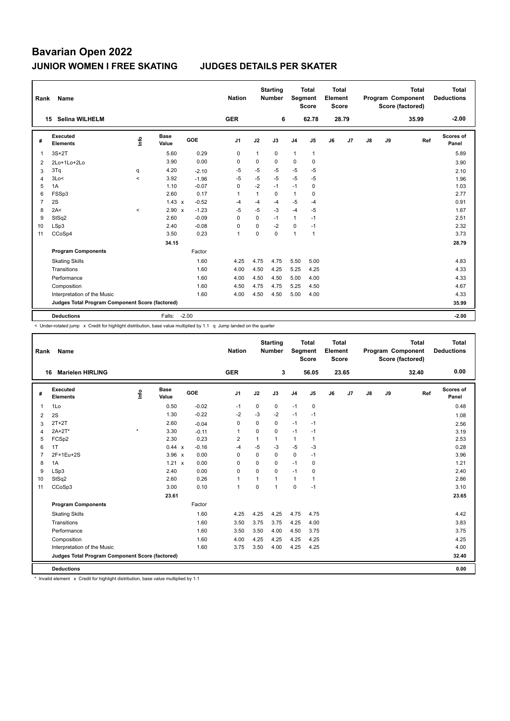| Rank | Name                                            |                          |                      |         | <b>Nation</b>  |          | <b>Starting</b><br><b>Number</b> | <b>Segment</b> | <b>Total</b><br><b>Score</b> | <b>Total</b><br>Element<br><b>Score</b> |                |    |    | <b>Total</b><br>Program Component<br>Score (factored) | <b>Total</b><br><b>Deductions</b> |
|------|-------------------------------------------------|--------------------------|----------------------|---------|----------------|----------|----------------------------------|----------------|------------------------------|-----------------------------------------|----------------|----|----|-------------------------------------------------------|-----------------------------------|
|      | <b>Selina WILHELM</b><br>15                     |                          |                      |         | <b>GER</b>     |          | 6                                |                | 62.78                        |                                         | 28.79          |    |    | 35.99                                                 | $-2.00$                           |
| #    | <b>Executed</b><br><b>Elements</b>              | ١nf٥                     | <b>Base</b><br>Value | GOE     | J1             | J2       | J3                               | J <sub>4</sub> | J5                           | J6                                      | J <sub>7</sub> | J8 | J9 | Ref                                                   | <b>Scores of</b><br>Panel         |
| 1    | $3S+2T$                                         |                          | 5.60                 | 0.29    | $\mathbf 0$    | 1        | $\mathbf 0$                      | $\mathbf{1}$   | $\mathbf{1}$                 |                                         |                |    |    |                                                       | 5.89                              |
| 2    | 2Lo+1Lo+2Lo                                     |                          | 3.90                 | 0.00    | 0              | 0        | 0                                | 0              | 0                            |                                         |                |    |    |                                                       | 3.90                              |
| 3    | 3Tq                                             | q                        | 4.20                 | $-2.10$ | $-5$           | $-5$     | $-5$                             | $-5$           | $-5$                         |                                         |                |    |    |                                                       | 2.10                              |
| 4    | 3Lo<                                            | $\overline{\phantom{0}}$ | 3.92                 | $-1.96$ | $-5$           | $-5$     | $-5$                             | $-5$           | -5                           |                                         |                |    |    |                                                       | 1.96                              |
| 5    | 1A                                              |                          | 1.10                 | $-0.07$ | 0              | $-2$     | $-1$                             | $-1$           | 0                            |                                         |                |    |    |                                                       | 1.03                              |
| 6    | FSSp3                                           |                          | 2.60                 | 0.17    | -1             | 1        | $\Omega$                         | $\mathbf{1}$   | 0                            |                                         |                |    |    |                                                       | 2.77                              |
| 7    | 2S                                              |                          | $1.43 \times$        | $-0.52$ | $-4$           | $-4$     | $-4$                             | $-5$           | $-4$                         |                                         |                |    |    |                                                       | 0.91                              |
| 8    | 2A<                                             | $\hat{}$                 | $2.90 \times$        | $-1.23$ | $-5$           | $-5$     | $-3$                             | $-4$           | -5                           |                                         |                |    |    |                                                       | 1.67                              |
| 9    | StSq2                                           |                          | 2.60                 | $-0.09$ | 0              | 0        | $-1$                             | $\mathbf{1}$   | $-1$                         |                                         |                |    |    |                                                       | 2.51                              |
| 10   | LSp3                                            |                          | 2.40                 | $-0.08$ | 0              | $\Omega$ | $-2$                             | $\mathbf 0$    | $-1$                         |                                         |                |    |    |                                                       | 2.32                              |
| 11   | CCoSp4                                          |                          | 3.50                 | 0.23    | $\overline{1}$ | $\Omega$ | $\Omega$                         | $\mathbf{1}$   | $\mathbf{1}$                 |                                         |                |    |    |                                                       | 3.73                              |
|      |                                                 |                          | 34.15                |         |                |          |                                  |                |                              |                                         |                |    |    |                                                       | 28.79                             |
|      | <b>Program Components</b>                       |                          |                      | Factor  |                |          |                                  |                |                              |                                         |                |    |    |                                                       |                                   |
|      | <b>Skating Skills</b>                           |                          |                      | 1.60    | 4.25           | 4.75     | 4.75                             | 5.50           | 5.00                         |                                         |                |    |    |                                                       | 4.83                              |
|      | Transitions                                     |                          |                      | 1.60    | 4.00           | 4.50     | 4.25                             | 5.25           | 4.25                         |                                         |                |    |    |                                                       | 4.33                              |
|      | Performance                                     |                          |                      | 1.60    | 4.00           | 4.50     | 4.50                             | 5.00           | 4.00                         |                                         |                |    |    |                                                       | 4.33                              |
|      | Composition                                     |                          |                      | 1.60    | 4.50           | 4.75     | 4.75                             | 5.25           | 4.50                         |                                         |                |    |    |                                                       | 4.67                              |
|      | Interpretation of the Music                     |                          |                      | 1.60    | 4.00           | 4.50     | 4.50                             | 5.00           | 4.00                         |                                         |                |    |    |                                                       | 4.33                              |
|      | Judges Total Program Component Score (factored) |                          |                      |         |                |          |                                  |                |                              |                                         |                |    |    |                                                       | 35.99                             |
|      | <b>Deductions</b>                               |                          | Falls:               | $-2.00$ |                |          |                                  |                |                              |                                         |                |    |    |                                                       | $-2.00$                           |

< Under-rotated jump x Credit for highlight distribution, base value multiplied by 1.1 q Jump landed on the quarter

| Rank           | <b>Name</b>                                     |         |                      |              |         | <b>Nation</b>  |                | <b>Starting</b><br><b>Number</b> |                | <b>Total</b><br>Segment<br><b>Score</b> | Total<br>Element<br><b>Score</b> |       |    |    | <b>Total</b><br>Program Component<br>Score (factored) | Total<br><b>Deductions</b> |
|----------------|-------------------------------------------------|---------|----------------------|--------------|---------|----------------|----------------|----------------------------------|----------------|-----------------------------------------|----------------------------------|-------|----|----|-------------------------------------------------------|----------------------------|
|                | <b>Marielen HIRLING</b><br>16                   |         |                      |              |         | <b>GER</b>     |                | 3                                |                | 56.05                                   |                                  | 23.65 |    |    | 32.40                                                 | 0.00                       |
| #              | Executed<br><b>Elements</b>                     | ١nfo    | <b>Base</b><br>Value | GOE          |         | J <sub>1</sub> | J2             | J3                               | J <sub>4</sub> | J5                                      | J6                               | J7    | J8 | J9 | Ref                                                   | Scores of<br>Panel         |
| $\overline{1}$ | 1Lo                                             |         | 0.50                 |              | $-0.02$ | $-1$           | 0              | 0                                | $-1$           | 0                                       |                                  |       |    |    |                                                       | 0.48                       |
| 2              | 2S                                              |         | 1.30                 |              | $-0.22$ | $-2$           | $-3$           | $-2$                             | $-1$           | $-1$                                    |                                  |       |    |    |                                                       | 1.08                       |
| 3              | $2T+2T$                                         |         | 2.60                 |              | $-0.04$ | 0              | 0              | 0                                | $-1$           | $-1$                                    |                                  |       |    |    |                                                       | 2.56                       |
| 4              | $2A+2T^*$                                       | $\star$ | 3.30                 |              | $-0.11$ | $\mathbf{1}$   | $\mathbf 0$    | 0                                | $-1$           | $-1$                                    |                                  |       |    |    |                                                       | 3.19                       |
| 5              | FCSp2                                           |         | 2.30                 |              | 0.23    | $\overline{2}$ |                | 1                                | $\mathbf{1}$   | 1                                       |                                  |       |    |    |                                                       | 2.53                       |
| 6              | 1T                                              |         | 0.44 x               |              | $-0.16$ | -4             | $-5$           | $-3$                             | $-5$           | $-3$                                    |                                  |       |    |    |                                                       | 0.28                       |
| $\overline{7}$ | 2F+1Eu+2S                                       |         | 3.96                 | $\mathsf{x}$ | 0.00    | $\mathbf 0$    | $\mathbf 0$    | 0                                | $\mathbf 0$    | $-1$                                    |                                  |       |    |    |                                                       | 3.96                       |
| 8              | 1A                                              |         | 1.21 x               |              | 0.00    | $\Omega$       | $\Omega$       | $\Omega$                         | $-1$           | $\Omega$                                |                                  |       |    |    |                                                       | 1.21                       |
| 9              | LSp3                                            |         | 2.40                 |              | 0.00    | $\mathbf 0$    | $\Omega$       | 0                                | $-1$           | 0                                       |                                  |       |    |    |                                                       | 2.40                       |
| 10             | StSq2                                           |         | 2.60                 |              | 0.26    | $\mathbf{1}$   | $\overline{ }$ | $\mathbf{1}$                     | $\mathbf{1}$   | 1                                       |                                  |       |    |    |                                                       | 2.86                       |
| 11             | CCoSp3                                          |         | 3.00                 |              | 0.10    | $\mathbf{1}$   | $\mathbf 0$    | $\overline{1}$                   | $\mathbf 0$    | $-1$                                    |                                  |       |    |    |                                                       | 3.10                       |
|                |                                                 |         | 23.61                |              |         |                |                |                                  |                |                                         |                                  |       |    |    |                                                       | 23.65                      |
|                | <b>Program Components</b>                       |         |                      |              | Factor  |                |                |                                  |                |                                         |                                  |       |    |    |                                                       |                            |
|                | <b>Skating Skills</b>                           |         |                      |              | 1.60    | 4.25           | 4.25           | 4.25                             | 4.75           | 4.75                                    |                                  |       |    |    |                                                       | 4.42                       |
|                | Transitions                                     |         |                      |              | 1.60    | 3.50           | 3.75           | 3.75                             | 4.25           | 4.00                                    |                                  |       |    |    |                                                       | 3.83                       |
|                | Performance                                     |         |                      |              | 1.60    | 3.50           | 3.50           | 4.00                             | 4.50           | 3.75                                    |                                  |       |    |    |                                                       | 3.75                       |
|                | Composition                                     |         |                      |              | 1.60    | 4.00           | 4.25           | 4.25                             | 4.25           | 4.25                                    |                                  |       |    |    |                                                       | 4.25                       |
|                | Interpretation of the Music                     |         |                      |              | 1.60    | 3.75           | 3.50           | 4.00                             | 4.25           | 4.25                                    |                                  |       |    |    |                                                       | 4.00                       |
|                | Judges Total Program Component Score (factored) |         |                      |              |         |                |                |                                  |                |                                         |                                  |       |    |    |                                                       | 32.40                      |
|                | <b>Deductions</b>                               |         |                      |              |         |                |                |                                  |                |                                         |                                  |       |    |    |                                                       | 0.00                       |

\* Invalid element x Credit for highlight distribution, base value multiplied by 1.1